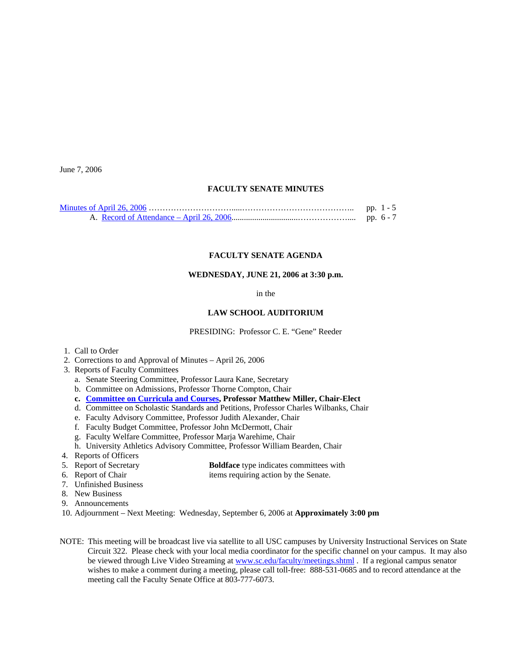June 7, 2006

## **FACULTY SENATE MINUTES**

| pp. $1 - 5$ |
|-------------|
| pp. $6 - 7$ |

## **FACULTY SENATE AGENDA**

# **WEDNESDAY, JUNE 21, 2006 at 3:30 p.m.**

in the

### **LAW SCHOOL AUDITORIUM**

PRESIDING: Professor C. E. "Gene" Reeder

- 1. Call to Order
- 2. Corrections to and Approval of Minutes April 26, 2006
- 3. Reports of Faculty Committees
	- a. Senate Steering Committee, Professor Laura Kane, Secretary
	- b. Committee on Admissions, Professor Thorne Compton, Chair
	- **c. [Committee on Curricula and Courses](http://www.sc.edu/faculty/senate/06/agenda/0621.cc.pdf), Professor Matthew Miller, Chair-Elect**
	- d. Committee on Scholastic Standards and Petitions, Professor Charles Wilbanks, Chair
	- e. Faculty Advisory Committee, Professor Judith Alexander, Chair
	- f. Faculty Budget Committee, Professor John McDermott, Chair
	- g. Faculty Welfare Committee, Professor Marja Warehime, Chair
	- h. University Athletics Advisory Committee, Professor William Bearden, Chair
- 4. Reports of Officers
- 5. Report of Secretary **Boldface** type indicates committees with
- 6. Report of Chair items requiring action by the Senate.
- 7. Unfinished Business
- 8. New Business
- 9. Announcements
- 10. Adjournment Next Meeting: Wednesday, September 6, 2006 at **Approximately 3:00 pm**
- NOTE: This meeting will be broadcast live via satellite to all USC campuses by University Instructional Services on State Circuit 322. Please check with your local media coordinator for the specific channel on your campus. It may also be viewed through Live Video Streaming at [www.sc.edu/faculty/meetings.shtml](http://www.sc.edu/faculty/meetings.shtml) . If a regional campus senator wishes to make a comment during a meeting, please call toll-free: 888-531-0685 and to record attendance at the meeting call the Faculty Senate Office at 803-777-6073.